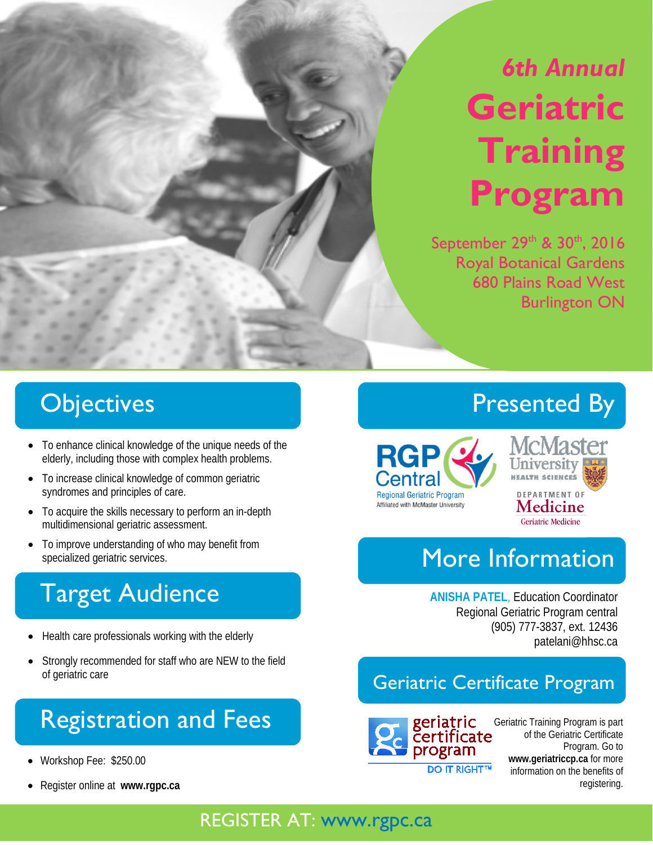# *6th Annual*  **Geriatric Training Program**

September 29th & 30th, 2016 Royal Botanical Gardens 680 Plains Road West Burlington ON

## **Objectives**

- To enhance clinical knowledge of the unique needs of the elderly, including those with complex health problems.
- To increase clinical knowledge of common geriatric syndromes and principles of care.
- To acquire the skills necessary to perform an in-depth multidimensional geriatric assessment.
- To improve understanding of who may benefit from specialized geriatric services.

## Target Audience

- Health care professionals working with the elderly
- Strongly recommended for staff who are NEW to the field of geriatric care

## Registration and Fees

- Workshop Fee: \$250.00
- Register online at **www.rgpc.ca**

## Presented By





### **Geriatric Medicine**

## More Information

**ANISHA PATEL**, Education Coordinator Regional Geriatric Program central (905) 777-3837, ext. 12436 patelani@hhsc.ca

#### Geriatric Certificate Program



Geriatric Training Program is part of the Geriatric Certificate Program. Go to **www.geriatriccp.ca** for more information on the benefits of registering.

#### REGISTER AT: www.rgpc.ca